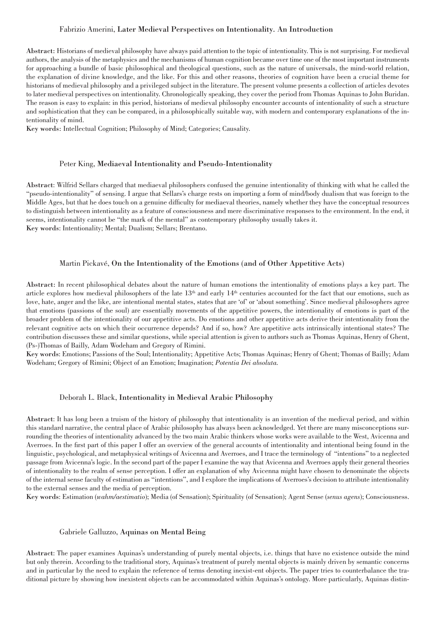### Fabrizio Amerini, Later Medieval Perspectives on Intentionality. An Introduction

Abstract: Historians of medieval philosophy have always paid attention to the topic of intentionality. This is not surprising. For medieval authors, the analysis of the metaphysics and the mechanisms of human cognition became over time one of the most important instruments for approaching a bundle of basic philosophical and theological questions, such as the nature of universals, the mind-world relation, the explanation of divine knowledge, and the like. For this and other reasons, theories of cognition have been a crucial theme for historians of medieval philosophy and a privileged subject in the literature. The present volume presents a collection of articles devotes to later medieval perspectives on intentionality. Chronologically speaking, they cover the period from Thomas Aquinas to John Buridan. The reason is easy to explain: in this period, historians of medieval philosophy encounter accounts of intentionality of such a structure and sophistication that they can be compared, in a philosophically suitable way, with modern and contemporary explanations of the intentionality of mind.

Key words: Intellectual Cognition; Philosophy of Mind; Categories; Causality.

#### Peter King, Mediaeval Intentionality and Pseudo-Intentionality

Abstract: Wilfrid Sellars charged that mediaeval philosophers confused the genuine intentionality of thinking with what he called the "pseudo-intentionality" of sensing. I argue that Sellars's charge rests on importing a form of mind/body dualism that was foreign to the Middle Ages, but that he does touch on a genuine difficulty for mediaeval theories, namely whether they have the conceptual resources to distinguish between intentionality as a feature of consciousness and mere discriminative responses to the environment. In the end, it seems, intentionality cannot be "the mark of the mental" as contemporary philosophy usually takes it. Key words: Intentionality; Mental; Dualism; Sellars; Brentano.

#### Martin Pickavé, On the Intentionality of the Emotions (and of Other Appetitive Acts)

Abstract: In recent philosophical debates about the nature of human emotions the intentionality of emotions plays a key part. The article explores how medieval philosophers of the late  $13<sup>th</sup>$  and early  $14<sup>th</sup>$  centuries accounted for the fact that our emotions, such as love, hate, anger and the like, are intentional mental states, states that are 'of' or 'about something'. Since medieval philosophers agree that emotions (passions of the soul) are essentially movements of the appetitive powers, the intentionality of emotions is part of the broader problem of the intentionality of our appetitive acts. Do emotions and other appetitive acts derive their intentionality from the relevant cognitive acts on which their occurrence depends? And if so, how? Are appetitive acts intrinsically intentional states? The contribution discusses these and similar questions, while special attention is given to authors such as Thomas Aquinas, Henry of Ghent, (Ps-)Thomas of Bailly, Adam Wodeham and Gregory of Rimini.

Key words: Emotions; Passions of the Soul; Intentionality; Appetitive Acts; Thomas Aquinas; Henry of Ghent; Thomas of Bailly; Adam Wodeham; Gregory of Rimini; Object of an Emotion; Imagination; *Potentia Dei absoluta.*

### Deborah L. Black, Intentionality in Medieval Arabic Philosophy

Abstract: It has long been a truism of the history of philosophy that intentionality is an invention of the medieval period, and within this standard narrative, the central place of Arabic philosophy has always been acknowledged. Yet there are many misconceptions surrounding the theories of intentionality advanced by the two main Arabic thinkers whose works were available to the West, Avicenna and Averroes. In the first part of this paper I offer an overview of the general accounts of intentionality and intentional being found in the linguistic, psychological, and metaphysical writings of Avicenna and Averroes, and I trace the terminology of "intentions" to a neglected passage from Avicenna's logic. In the second part of the paper I examine the way that Avicenna and Averroes apply their general theories of intentionality to the realm of sense perception. I offer an explanation of why Avicenna might have chosen to denominate the objects of the internal sense faculty of estimation as "intentions", and I explore the implications of Averroes's decision to attribute intentionality to the external senses and the media of perception.

Key words: Estimation (*wahm/aestimatio*); Media (of Sensation); Spirituality (of Sensation); Agent Sense (*senus agens*); Consciousness.

#### Gabriele Galluzzo, Aquinas on Mental Being

Abstract: The paper examines Aquinas's understanding of purely mental objects, i.e. things that have no existence outside the mind but only therein. According to the traditional story, Aquinas's treatment of purely mental objects is mainly driven by semantic concerns and in particular by the need to explain the reference of terms denoting inexist-ent objects. The paper tries to counterbalance the traditional picture by showing how inexistent objects can be accommodated within Aquinas's ontology. More particularly, Aquinas distin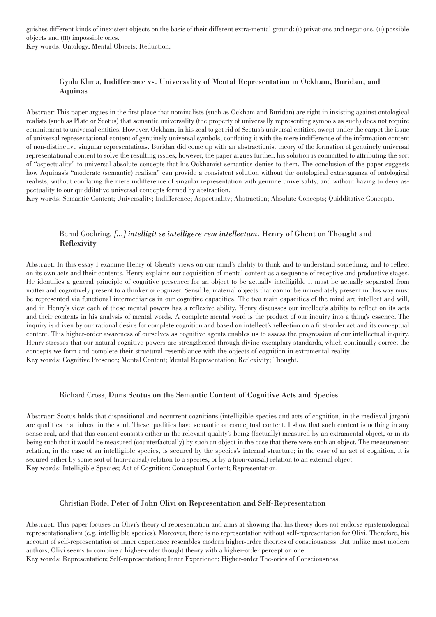guishes different kinds of inexistent objects on the basis of their different extra-mental ground: (I) privations and negations, (II) possible objects and (III) impossible ones.

Key words: Ontology; Mental Objects; Reduction.

# Gyula Klima, Indifference vs. Universality of Mental Representation in Ockham, Buridan, and Aquinas

Abstract: This paper argues in the first place that nominalists (such as Ockham and Buridan) are right in insisting against ontological realists (such as Plato or Scotus) that semantic universality (the property of universally representing symbols as such) does not require commitment to universal entities. However, Ockham, in his zeal to get rid of Scotus's universal entities, swept under the carpet the issue of universal representational content of genuinely universal symbols, conflating it with the mere indifference of the information content of non-distinctive singular representations. Buridan did come up with an abstractionist theory of the formation of genuinely universal representational content to solve the resulting issues, however, the paper argues further, his solution is committed to attributing the sort of "aspectuality" to universal absolute concepts that his Ockhamist semantics denies to them. The conclusion of the paper suggests how Aquinas's "moderate (semantic) realism" can provide a consistent solution without the ontological extravaganza of ontological realists, without conflating the mere indifference of singular representation with genuine universality, and without having to deny aspectuality to our quidditative universal concepts formed by abstraction.

Key words: Semantic Content; Universality; Indifference; Aspectuality; Abstraction; Absolute Concepts; Quidditative Concepts.

# Bernd Goehring, *[...] intelligit se intelligere rem intellectam.* Henry of Ghent on Thought and Reflexivity

Abstract: In this essay I examine Henry of Ghent's views on our mind's ability to think and to understand something, and to reflect on its own acts and their contents. Henry explains our acquisition of mental content as a sequence of receptive and productive stages. He identifies a general principle of cognitive presence: for an object to be actually intelligible it must be actually separated from matter and cognitively present to a thinker or cognizer. Sensible, material objects that cannot be immediately present in this way must be represented via functional intermediaries in our cognitive capacities. The two main capacities of the mind are intellect and will, and in Henry's view each of these mental powers has a reflexive ability. Henry discusses our intellect's ability to reflect on its acts and their contents in his analysis of mental words. A complete mental word is the product of our inquiry into a thing's essence. The inquiry is driven by our rational desire for complete cognition and based on intellect's reflection on a first-order act and its conceptual content. This higher-order awareness of ourselves as cognitive agents enables us to assess the progression of our intellectual inquiry. Henry stresses that our natural cognitive powers are strengthened through divine exemplary standards, which continually correct the concepts we form and complete their structural resemblance with the objects of cognition in extramental reality. Key words: Cognitive Presence; Mental Content; Mental Representation; Reflexivity; Thought.

### Richard Cross, Duns Scotus on the Semantic Content of Cognitive Acts and Species

Abstract: Scotus holds that dispositional and occurrent cognitions (intelligible species and acts of cognition, in the medieval jargon) are qualities that inhere in the soul. These qualities have semantic or conceptual content. I show that such content is nothing in any sense real, and that this content consists either in the relevant quality's being (factually) measured by an extramental object, or in its being such that it would be measured (counterfactually) by such an object in the case that there were such an object. The measurement relation, in the case of an intelligible species, is secured by the species's internal structure; in the case of an act of cognition, it is secured either by some sort of (non-causal) relation to a species, or by a (non-causal) relation to an external object. Key words: Intelligible Species; Act of Cognition; Conceptual Content; Representation.

### Christian Rode, Peter of John Olivi on Representation and Self-Representation

Abstract: This paper focuses on Olivi's theory of representation and aims at showing that his theory does not endorse epistemological representationalism (e.g. intelligible species). Moreover, there is no representation without self-representation for Olivi. Therefore, his account of self-representation or inner experience resembles modern higher-order theories of consciousness. But unlike most modern authors, Olivi seems to combine a higher-order thought theory with a higher-order perception one.

Key words: Representation; Self-representation; Inner Experience; Higher-order The-ories of Consciousness.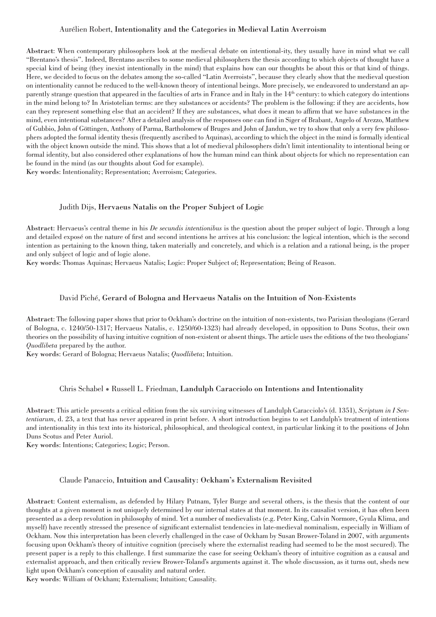### Aurélien Robert, Intentionality and the Categories in Medieval Latin Averroism

Abstract: When contemporary philosophers look at the medieval debate on intentional-ity, they usually have in mind what we call "Brentano's thesis". Indeed, Brentano ascribes to some medieval philosophers the thesis according to which objects of thought have a special kind of being (they inexist intentionally in the mind) that explains how can our thoughts be about this or that kind of things. Here, we decided to focus on the debates among the so-called "Latin Averroists", because they clearly show that the medieval question on intentionality cannot be reduced to the well-known theory of intentional beings. More precisely, we endeavored to understand an apparently strange question that appeared in the faculties of arts in France and in Italy in the 14<sup>th</sup> century: to which category do intentions in the mind belong to? In Aristotelian terms: are they substances or accidents? The problem is the following: if they are accidents, how can they represent something else that an accident? If they are substances, what does it mean to affirm that we have substances in the mind, even intentional substances? After a detailed analysis of the responses one can find in Siger of Brabant, Angelo of Arezzo, Matthew of Gubbio, John of Göttingen, Anthony of Parma, Bartholomew of Bruges and John of Jandun, we try to show that only a very few philosophers adopted the formal identity thesis (frequently ascribed to Aquinas), according to which the object in the mind is formally identical with the object known outside the mind. This shows that a lot of medieval philosophers didn't limit intentionality to intentional being or formal identity, but also considered other explanations of how the human mind can think about objects for which no representation can be found in the mind (as our thoughts about God for example).

Key words: Intentionality; Representation; Averroism; Categories.

#### Judith Dijs, Hervaeus Natalis on the Proper Subject of Logic

Abstract: Hervaeus's central theme in his *De secundis intentionibus* is the question about the proper subject of logic. Through a long and detailed exposé on the nature of first and second intentions he arrives at his conclusion: the logical intention, which is the second intention as pertaining to the known thing, taken materially and concretely, and which is a relation and a rational being, is the proper and only subject of logic and of logic alone.

Key words: Thomas Aquinas; Hervaeus Natalis; Logic: Proper Subject of; Representation; Being of Reason.

#### David Piché, Gerard of Bologna and Hervaeus Natalis on the Intuition of Non-Existents

Abstract: The following paper shows that prior to Ockham's doctrine on the intuition of non-existents, two Parisian theologians (Gerard of Bologna, c. 1240/50-1317; Hervaeus Natalis, c. 1250/60-1323) had already developed, in opposition to Duns Scotus, their own theories on the possibility of having intuitive cognition of non-existent or absent things. The article uses the editions of the two theologians' *Quodlibeta* prepared by the author.

Key words: Gerard of Bologna; Hervaeus Natalis; *Quodlibeta*; Intuition.

#### Chris Schabel • Russell L. Friedman, Landulph Caracciolo on Intentions and Intentionality

Abstract: This article presents a critical edition from the six surviving witnesses of Landulph Caracciolo's (d. 1351), *Scriptum in I Sententiarum*, d. 23, a text that has never appeared in print before. A short introduction begins to set Landulph's treatment of intentions and intentionality in this text into its historical, philosophical, and theological context, in particular linking it to the positions of John Duns Scotus and Peter Auriol.

Key words: Intentions; Categories; Logic; Person.

#### Claude Panaccio, Intuition and Causality: Ockham's Externalism Revisited

Abstract: Content externalism, as defended by Hilary Putnam, Tyler Burge and several others, is the thesis that the content of our thoughts at a given moment is not uniquely determined by our internal states at that moment. In its causalist version, it has often been presented as a deep revolution in philosophy of mind. Yet a number of medievalists (e.g. Peter King, Calvin Normore, Gyula Klima, and myself) have recently stressed the presence of significant externalist tendencies in late-medieval nominalism, especially in William of Ockham. Now this interpretation has been cleverly challenged in the case of Ockham by Susan Brower-Toland in 2007, with arguments focusing upon Ockham's theory of intuitive cognition (precisely where the externalist reading had seemed to be the most secured). The present paper is a reply to this challenge. I first summarize the case for seeing Ockham's theory of intuitive cognition as a causal and externalist approach, and then critically review Brower-Toland's arguments against it. The whole discussion, as it turns out, sheds new light upon Ockham's conception of causality and natural order.

Key words: William of Ockham; Externalism; Intuition; Causality.